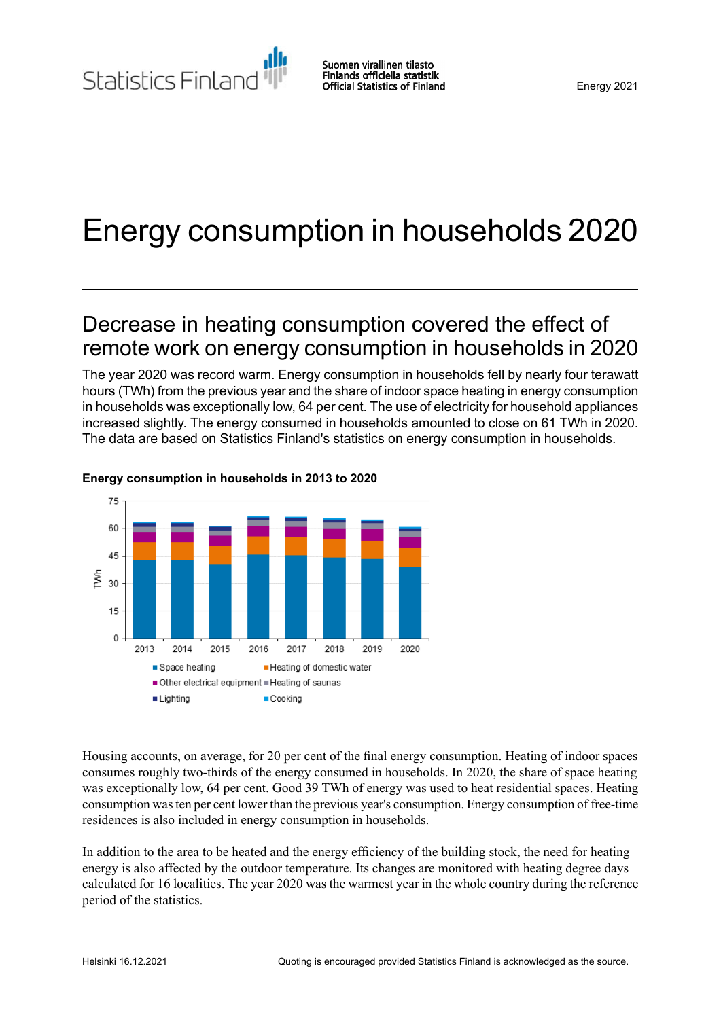Statistics Finland

Suomen virallinen tilasto Finlands officiella statistik **Official Statistics of Finland** 

# Energy consumption in households 2020

## Decrease in heating consumption covered the effect of remote work on energy consumption in households in 2020

The year 2020 was record warm. Energy consumption in households fell by nearly four terawatt hours (TWh) from the previous year and the share of indoor space heating in energy consumption in households was exceptionally low, 64 per cent. The use of electricity for household appliances increased slightly. The energy consumed in households amounted to close on 61 TWh in 2020. The data are based on Statistics Finland's statistics on energy consumption in households.



### **Energy consumption in households in 2013 to 2020**

Housing accounts, on average, for 20 per cent of the final energy consumption. Heating of indoor spaces consumes roughly two-thirds of the energy consumed in households. In 2020, the share of space heating was exceptionally low, 64 per cent. Good 39 TWh of energy was used to heat residential spaces. Heating consumption wasten per cent lower than the previous year's consumption. Energy consumption of free-time residences is also included in energy consumption in households.

In addition to the area to be heated and the energy efficiency of the building stock, the need for heating energy is also affected by the outdoor temperature. Its changes are monitored with heating degree days calculated for 16 localities. The year 2020 was the warmest year in the whole country during the reference period of the statistics.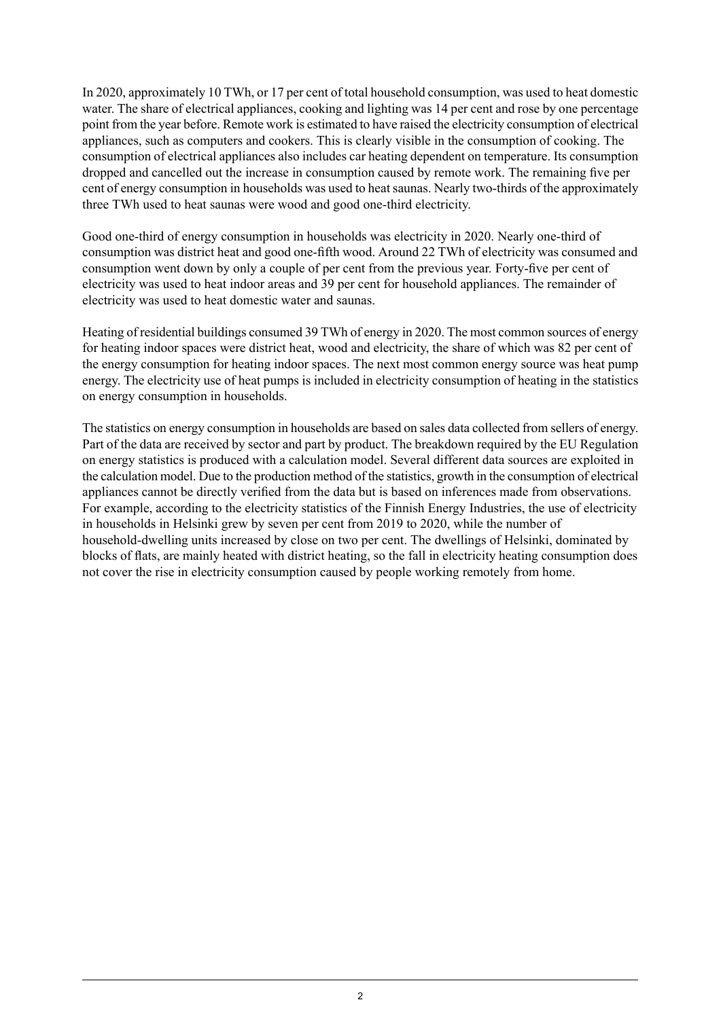In 2020, approximately 10 TWh, or 17 per cent of total household consumption, was used to heat domestic water. The share of electrical appliances, cooking and lighting was 14 per cent and rose by one percentage point from the year before. Remote work is estimated to have raised the electricity consumption of electrical appliances, such as computers and cookers. This is clearly visible in the consumption of cooking. The consumption of electrical appliances also includes car heating dependent on temperature. Its consumption dropped and cancelled out the increase in consumption caused by remote work. The remaining five per cent of energy consumption in households was used to heat saunas. Nearly two-thirds of the approximately three TWh used to heat saunas were wood and good one-third electricity.

Good one-third of energy consumption in households was electricity in 2020. Nearly one-third of consumption was district heat and good one-fifth wood. Around 22 TWh of electricity was consumed and consumption went down by only a couple of per cent from the previous year. Forty-five per cent of electricity was used to heat indoor areas and 39 per cent for household appliances. The remainder of electricity was used to heat domestic water and saunas.

Heating of residential buildings consumed 39 TWh of energy in 2020. The most common sources of energy for heating indoor spaces were district heat, wood and electricity, the share of which was 82 per cent of the energy consumption for heating indoor spaces. The next most common energy source was heat pump energy. The electricity use of heat pumps is included in electricity consumption of heating in the statistics on energy consumption in households.

The statistics on energy consumption in households are based on sales data collected from sellers of energy. Part of the data are received by sector and part by product. The breakdown required by the EU Regulation on energy statistics is produced with a calculation model. Several different data sources are exploited in the calculation model. Due to the production method of the statistics, growth in the consumption of electrical appliances cannot be directly verified from the data but is based on inferences made from observations. For example, according to the electricity statistics of the Finnish Energy Industries, the use of electricity in households in Helsinki grew by seven per cent from 2019 to 2020, while the number of household-dwelling units increased by close on two per cent. The dwellings of Helsinki, dominated by blocks of flats, are mainly heated with district heating, so the fall in electricity heating consumption does not cover the rise in electricity consumption caused by people working remotely from home.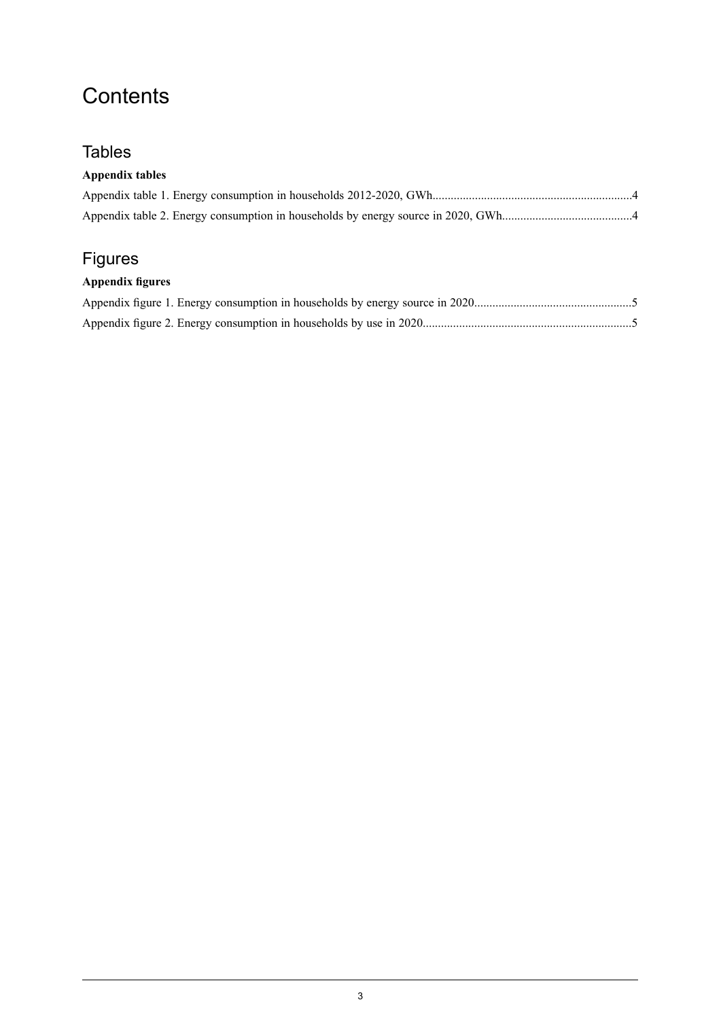## **Contents**

### **Tables**

### **Appendix tables**

## Figures

### **Appendix figures**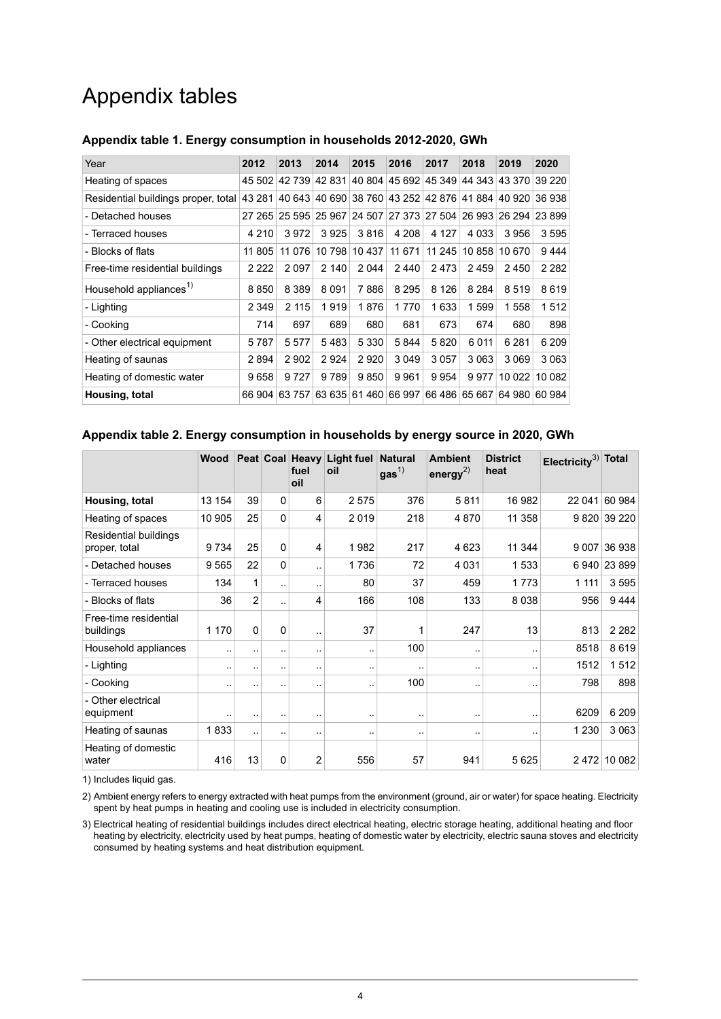## Appendix tables

| Year                                | 2012    | 2013    | 2014            | 2015    | 2016                                                    | 2017    | 2018          | 2019    | 2020          |
|-------------------------------------|---------|---------|-----------------|---------|---------------------------------------------------------|---------|---------------|---------|---------------|
| Heating of spaces                   | 45 502  |         | 42 739 42 831   |         | 40 804 45 692 45 349 44 343 43 370 39 220               |         |               |         |               |
| Residential buildings proper, total | 43 281  |         |                 |         | 40 643 40 690 38 760 43 252 42 876 41 884 40 920 36 938 |         |               |         |               |
| - Detached houses                   | 27 265  |         | 25 595   25 967 |         | 24 507 27 373 27 504 26 993 26 294 23 899               |         |               |         |               |
| - Terraced houses                   | 4 210   | 3972    | 3925            | 3816    | 4 208                                                   | 4 1 2 7 | 4 0 3 3       | 3956    | 3595          |
| - Blocks of flats                   | 11 805  | 11 076  | 10 798          |         | 10 437   11 671                                         | 11245   | 10 858        | 10 670  | 9444          |
| Free-time residential buildings     | 2 2 2 2 | 2097    | 2 140           | 2 0 4 4 | 2440                                                    | 2473    | 2459          | 2450    | 2 2 8 2       |
| Household appliances <sup>1)</sup>  | 8 8 5 0 | 8 3 8 9 | 8 0 9 1         | 7886    | 8 2 9 5                                                 | 8 1 2 6 | 8 2 8 4       | 8519    | 8619          |
| - Lighting                          | 2 349   | 2 1 1 5 | 1919            | 1876    | 1 7 7 0                                                 | 1633    | 1599          | 1558    | 1512          |
| - Cooking                           | 714     | 697     | 689             | 680     | 681                                                     | 673     | 674           | 680     | 898           |
| - Other electrical equipment        | 5787    | 5577    | 5483            | 5 3 3 0 | 5844                                                    | 5820    | 6011          | 6 2 8 1 | 6 209         |
| Heating of saunas                   | 2894    | 2902    | 2924            | 2920    | 3049                                                    | 3057    | 3063          | 3 0 6 9 | 3 0 6 3       |
| Heating of domestic water           | 9658    | 9727    | 9789            | 9850    | 9961                                                    | 9954    | 9977          | 10 022  | 10 082        |
| Housing, total                      | 66 904  | 63757   | 63 635          |         | 61 460 66 997                                           |         | 66 486 65 667 |         | 64 980 60 984 |

#### <span id="page-3-0"></span>**Appendix table 1. Energy consumption in households 2012-2020, GWh**

#### <span id="page-3-1"></span>**Appendix table 2. Energy consumption in households by energy source in 2020, GWh**

|                                        | Wood                 |                |                      | Peat Coal Heavy<br>fuel<br>oil | Light fuel Natural<br>oil | gas <sup>1</sup>     | <b>Ambient</b><br>energy <sup>2)</sup> | <b>District</b><br>heat | Electricity <sup>3)</sup> Total |              |
|----------------------------------------|----------------------|----------------|----------------------|--------------------------------|---------------------------|----------------------|----------------------------------------|-------------------------|---------------------------------|--------------|
| Housing, total                         | 13 154               | 39             | $\Omega$             | 6                              | 2575                      | 376                  | 5811                                   | 16 982                  | 22 041                          | 60 984       |
| Heating of spaces                      | 10 905               | 25             | 0                    | 4                              | 2019                      | 218                  | 4870                                   | 11 358                  |                                 | 9 820 39 220 |
| Residential buildings<br>proper, total | 9 7 3 4              | 25             | 0                    | 4                              | 1982                      | 217                  | 4 6 23                                 | 11 344                  | 9 0 0 7                         | 36938        |
| - Detached houses                      | 9565                 | 22             | $\Omega$             |                                | 1736                      | 72                   | 4 0 3 1                                | 1533                    | 6940                            | 23 899       |
| - Terraced houses                      | 134                  | 1              |                      |                                | 80                        | 37                   | 459                                    | 1773                    | 1 1 1 1                         | 3595         |
| - Blocks of flats                      | 36                   | $\overline{2}$ | ٠.                   | 4                              | 166                       | 108                  | 133                                    | 8 0 3 8                 | 956                             | 9444         |
| Free-time residential<br>buildings     | 1 1 7 0              | $\Omega$       | 0                    |                                | 37                        | 1                    | 247                                    | 13                      | 813                             | 2 2 8 2      |
| Household appliances                   | $\ddotsc$            | ٠.             | $\ddot{\phantom{1}}$ |                                | ٠.                        | 100                  | $\ddot{\phantom{1}}$ .                 |                         | 8518                            | 8619         |
| - Lighting                             |                      | ٠.             |                      |                                |                           | $\ddot{\phantom{1}}$ | $\ddot{\phantom{1}}$ .                 |                         | 1512                            | 1512         |
| - Cooking                              | $\ddot{\phantom{1}}$ |                | $\ddot{\phantom{1}}$ |                                |                           | 100                  | $\ddot{\phantom{1}}$ .                 |                         | 798                             | 898          |
| - Other electrical<br>equipment        | $\ddotsc$            |                |                      |                                | $\sim$ $\sim$             |                      | $\ddot{\phantom{1}}$ .                 | $\cdot$ .               | 6209                            | 6 2 0 9      |
| Heating of saunas                      | 1833                 | $\ddotsc$      |                      | ٠.                             |                           | $\ddot{\phantom{1}}$ | . .                                    |                         | 1 2 3 0                         | 3 0 6 3      |
| Heating of domestic<br>water           | 416                  | 13             | 0                    | 2                              | 556                       | 57                   | 941                                    | 5 6 2 5                 | 2472                            | 10 082       |

1) Includes liquid gas.

2) Ambient energy refers to energy extracted with heat pumps from the environment (ground, air or water) for space heating. Electricity spent by heat pumps in heating and cooling use is included in electricity consumption.

Electrical heating of residential buildings includes direct electrical heating, electric storage heating, additional heating and floor 3) heating by electricity, electricity used by heat pumps, heating of domestic water by electricity, electric sauna stoves and electricity consumed by heating systems and heat distribution equipment.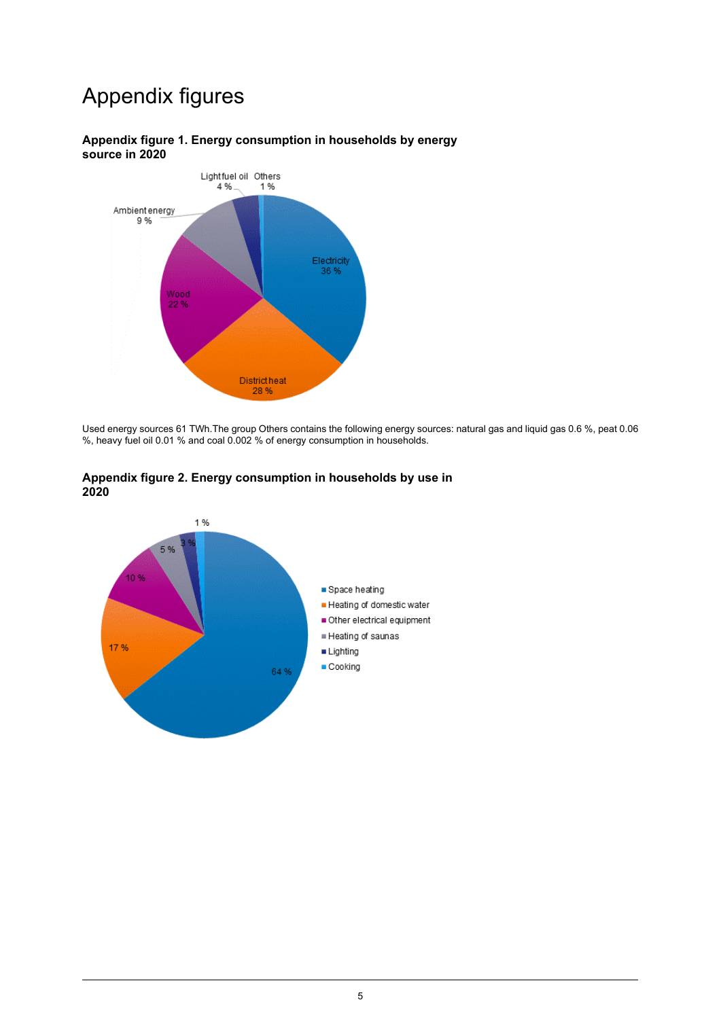## Appendix figures



### <span id="page-4-0"></span>**Appendix figure 1. Energy consumption in households by energy source in 2020**

<span id="page-4-1"></span>Used energy sources 61 TWh.The group Others contains the following energy sources: natural gas and liquid gas 0.6 %, peat 0.06 %, heavy fuel oil 0.01 % and coal 0.002 % of energy consumption in households.



#### **Appendix figure 2. Energy consumption in households by use in 2020**